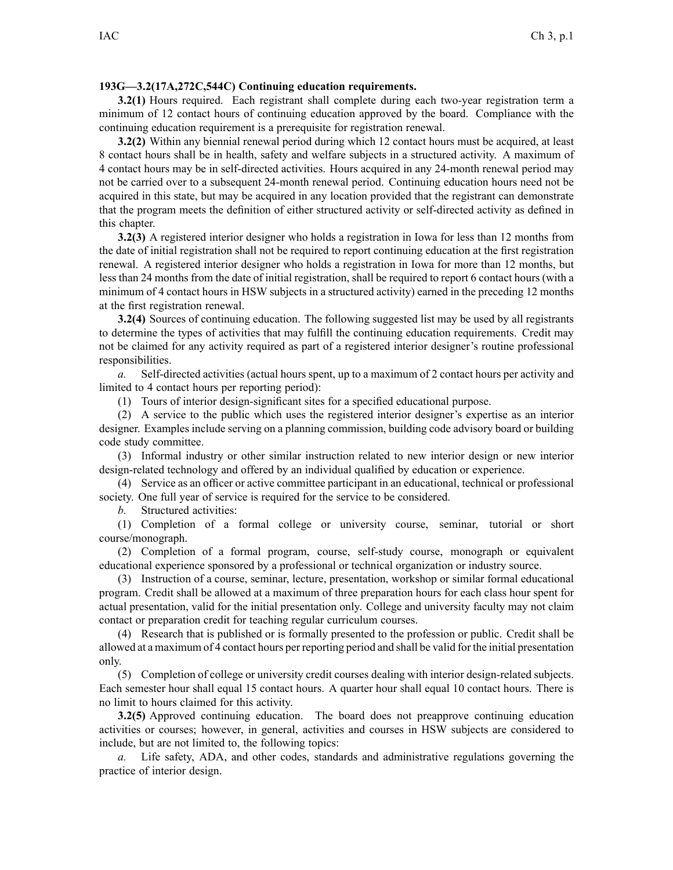## **193G—3.2(17A,272C,544C) Continuing education requirements.**

**3.2(1)** Hours required. Each registrant shall complete during each two-year registration term <sup>a</sup> minimum of 12 contact hours of continuing education approved by the board. Compliance with the continuing education requirement is <sup>a</sup> prerequisite for registration renewal.

**3.2(2)** Within any biennial renewal period during which 12 contact hours must be acquired, at least 8 contact hours shall be in health, safety and welfare subjects in <sup>a</sup> structured activity. A maximum of 4 contact hours may be in self-directed activities. Hours acquired in any 24-month renewal period may not be carried over to <sup>a</sup> subsequent 24-month renewal period. Continuing education hours need not be acquired in this state, but may be acquired in any location provided that the registrant can demonstrate that the program meets the definition of either structured activity or self-directed activity as defined in this chapter.

**3.2(3)** A registered interior designer who holds <sup>a</sup> registration in Iowa for less than 12 months from the date of initial registration shall not be required to repor<sup>t</sup> continuing education at the first registration renewal. A registered interior designer who holds <sup>a</sup> registration in Iowa for more than 12 months, but less than 24 months from the date of initial registration, shall be required to repor<sup>t</sup> 6 contact hours (with <sup>a</sup> minimum of 4 contact hours in HSW subjects in <sup>a</sup> structured activity) earned in the preceding 12 months at the first registration renewal.

**3.2(4)** Sources of continuing education. The following suggested list may be used by all registrants to determine the types of activities that may fulfill the continuing education requirements. Credit may not be claimed for any activity required as par<sup>t</sup> of <sup>a</sup> registered interior designer's routine professional responsibilities.

*a.* Self-directed activities (actual hours spent, up to <sup>a</sup> maximum of 2 contact hours per activity and limited to 4 contact hours per reporting period):

(1) Tours of interior design-significant sites for <sup>a</sup> specified educational purpose.

(2) A service to the public which uses the registered interior designer's expertise as an interior designer. Examples include serving on <sup>a</sup> planning commission, building code advisory board or building code study committee.

(3) Informal industry or other similar instruction related to new interior design or new interior design-related technology and offered by an individual qualified by education or experience.

(4) Service as an officer or active committee participant in an educational, technical or professional society. One full year of service is required for the service to be considered.

*b.* Structured activities:

(1) Completion of <sup>a</sup> formal college or university course, seminar, tutorial or short course/monograph.

(2) Completion of <sup>a</sup> formal program, course, self-study course, monograph or equivalent educational experience sponsored by <sup>a</sup> professional or technical organization or industry source.

(3) Instruction of <sup>a</sup> course, seminar, lecture, presentation, workshop or similar formal educational program. Credit shall be allowed at <sup>a</sup> maximum of three preparation hours for each class hour spen<sup>t</sup> for actual presentation, valid for the initial presentation only. College and university faculty may not claim contact or preparation credit for teaching regular curriculum courses.

(4) Research that is published or is formally presented to the profession or public. Credit shall be allowed at <sup>a</sup> maximum of 4 contact hours per reporting period and shall be valid for the initial presentation only.

(5) Completion of college or university credit courses dealing with interior design-related subjects. Each semester hour shall equal 15 contact hours. A quarter hour shall equal 10 contact hours. There is no limit to hours claimed for this activity.

**3.2(5)** Approved continuing education. The board does not preapprove continuing education activities or courses; however, in general, activities and courses in HSW subjects are considered to include, but are not limited to, the following topics:

*a.* Life safety, ADA, and other codes, standards and administrative regulations governing the practice of interior design.